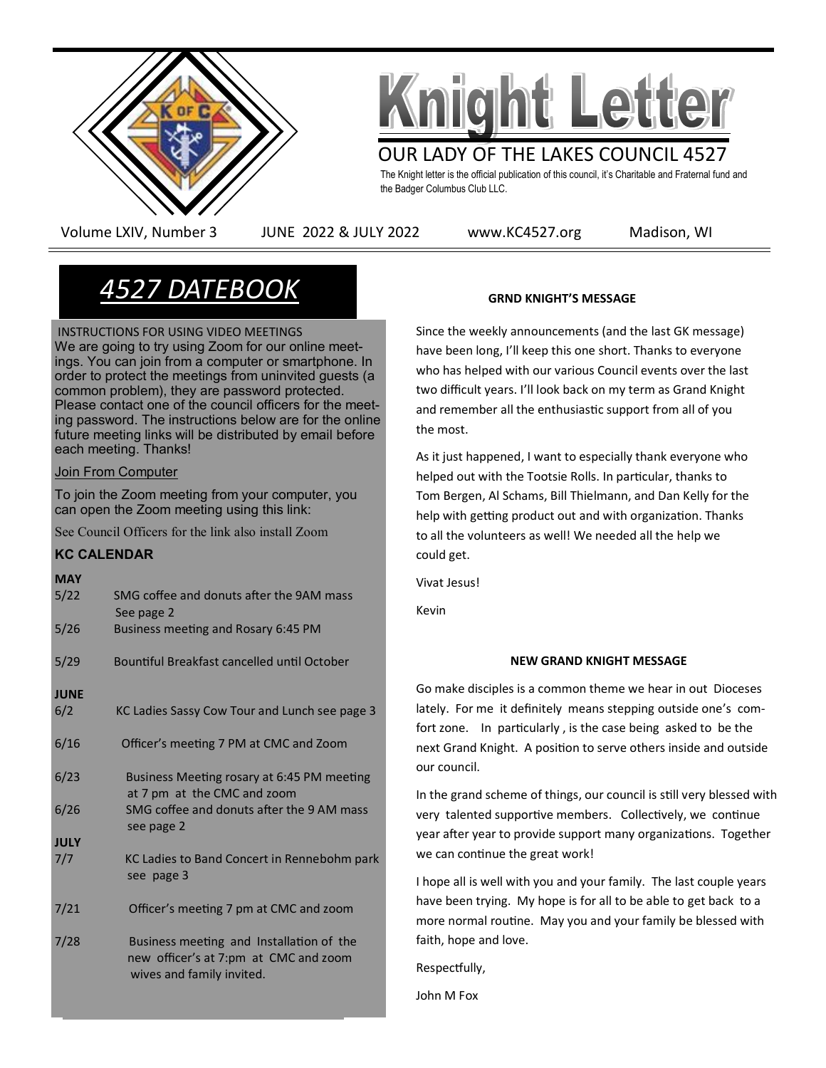



OUR LADY OF THE LAKES COUNCIL 4527

The Knight letter is the official publication of this council, it's Charitable and Fraternal fund and the Badger Columbus Club LLC.

Volume LXIV, Number 3 JUNE 2022 & JULY 2022 www.KC4527.org Madison, WI

# *4527 DATEBOOK*

**APRIL** INSTRUCTIONS FOR USING VIDEO MEETINGS **ings. You can join from a computer or smartphone. In**  $\overline{\phantom{a}}$ blue: to protect the meetings non-unimitied gacs<br>common problem), they are password protected. berminer presion, and y are passivers preceded.<br>Please contact one of the council officers for the meeting password. The instructions below are for the online future meeting links will be distributed by email before each meeting. Thanks! We are going to try using Zoom for our online meetorder to protect the meetings from uninvited guests (a

# **Join From Computer**

 24 Officers Meeting - 6:30 p.m. To join the Zoom meeting from your computer, you can open the Zoom meeting using this link:  $\,$ 

See Council Officers for the link also install Zoom

# 26 & 27 State Convention in Appleton, WI. **KC CALENDAR**

| <b>MAY</b>  |                                                                                                                |
|-------------|----------------------------------------------------------------------------------------------------------------|
| 5/22        | SMG coffee and donuts after the 9AM mass<br>See page 2                                                         |
| 5/26        | Business meeting and Rosary 6:45 PM                                                                            |
| 5/29        | Bountiful Breakfast cancelled until October                                                                    |
| <b>JUNE</b> |                                                                                                                |
| 6/2         | KC Ladies Sassy Cow Tour and Lunch see page 3                                                                  |
| 6/16        | Officer's meeting 7 PM at CMC and Zoom                                                                         |
| 6/23        | Business Meeting rosary at 6:45 PM meeting<br>at 7 pm at the CMC and zoom                                      |
| 6/26        | SMG coffee and donuts after the 9 AM mass<br>see page 2                                                        |
| <b>JULY</b> |                                                                                                                |
| 7/7         | KC Ladies to Band Concert in Rennebohm park<br>see page 3                                                      |
| 7/21        | Officer's meeting 7 pm at CMC and zoom                                                                         |
| 7/28        | Business meeting and Installation of the<br>new officer's at 7:pm at CMC and zoom<br>wives and family invited. |

# **GRND KNIGHT'S MESSAGE**

Since the weekly announcements (and the last GK message) have been long, I'll keep this one short. Thanks to everyone who has helped with our various Council events over the last two difficult years. I'll look back on my term as Grand Knight and remember all the enthusiastic support from all of you the most.

As it just happened, I want to especially thank everyone who helped out with the Tootsie Rolls. In particular, thanks to Tom Bergen, Al Schams, Bill Thielmann, and Dan Kelly for the help with getting product out and with organization. Thanks to all the volunteers as well! We needed all the help we could get.

Vivat Jesus!

Kevin

## **NEW GRAND KNIGHT MESSAGE**

Go make disciples is a common theme we hear in out Dioceses lately. For me it definitely means stepping outside one's comfort zone. In particularly , is the case being asked to be the next Grand Knight. A position to serve others inside and outside our council.

In the grand scheme of things, our council is still very blessed with very talented supportive members. Collectively, we continue year after year to provide support many organizations. Together we can continue the great work!

I hope all is well with you and your family. The last couple years have been trying. My hope is for all to be able to get back to a more normal routine. May you and your family be blessed with faith, hope and love.

Respectfully,

John M Fox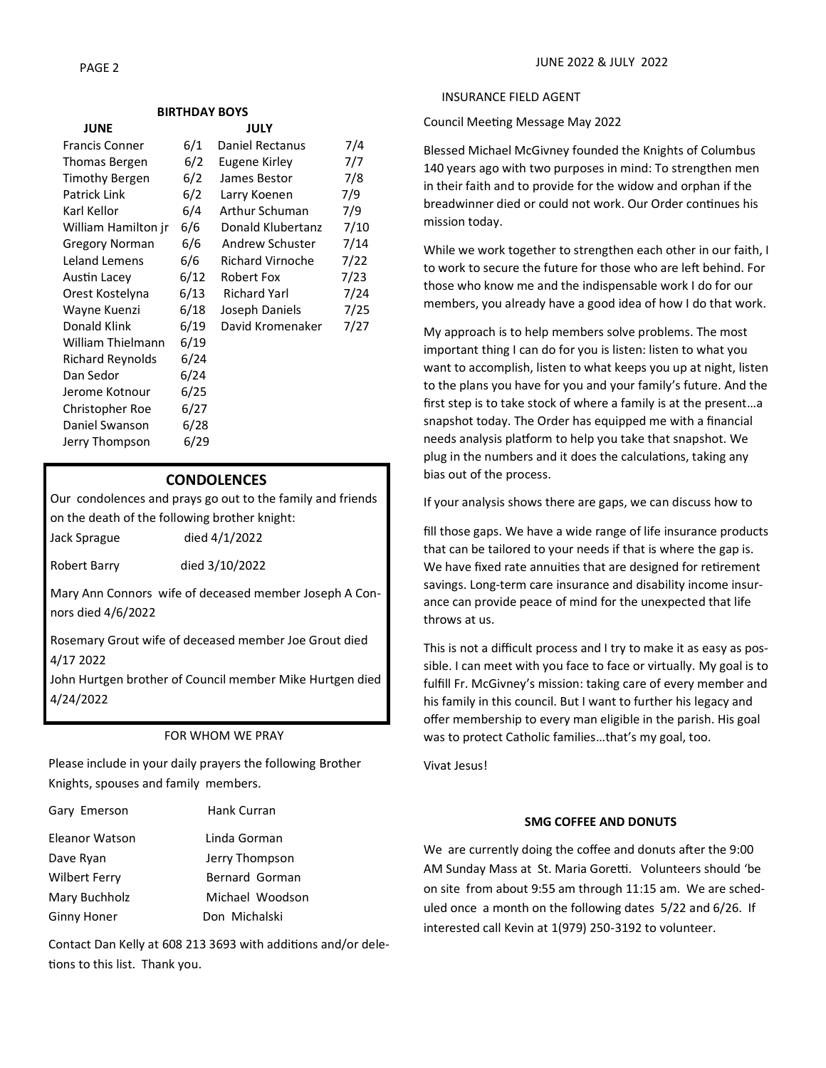#### **BIRTHDAY BOYS**

| <b>JUNE</b>           |      | <b>JULY</b>             |      |
|-----------------------|------|-------------------------|------|
| <b>Francis Conner</b> | 6/1  | Daniel Rectanus         | 7/4  |
| Thomas Bergen         | 6/2  | Eugene Kirley           | 7/7  |
| Timothy Bergen        | 6/2  | James Bestor            | 7/8  |
| <b>Patrick Link</b>   | 6/2  | Larry Koenen            | 7/9  |
| Karl Kellor           | 6/4  | Arthur Schuman          | 7/9  |
| William Hamilton jr   | 6/6  | Donald Klubertanz       | 7/10 |
| <b>Gregory Norman</b> | 6/6  | Andrew Schuster         | 7/14 |
| Leland Lemens         | 6/6  | <b>Richard Virnoche</b> | 7/22 |
| Austin Lacey          | 6/12 | Robert Fox              | 7/23 |
| Orest Kostelyna       | 6/13 | <b>Richard Yarl</b>     | 7/24 |
| Wayne Kuenzi          | 6/18 | Joseph Daniels          | 7/25 |
| Donald Klink          | 6/19 | David Kromenaker        | 7/27 |
| William Thielmann     | 6/19 |                         |      |
| Richard Reynolds      | 6/24 |                         |      |
| Dan Sedor             | 6/24 |                         |      |
| Jerome Kotnour        | 6/25 |                         |      |
| Christopher Roe       | 6/27 |                         |      |
| Daniel Swanson        | 6/28 |                         |      |
| Jerry Thompson        | 6/29 |                         |      |
|                       |      |                         |      |

#### **CONDOLENCES**

Our condolences and prays go out to the family and friends on the death of the following brother knight: Jack Sprague died 4/1/2022

Robert Barry died 3/10/2022

Mary Ann Connors wife of deceased member Joseph A Connors died 4/6/2022

Rosemary Grout wife of deceased member Joe Grout died 4/17 2022

John Hurtgen brother of Council member Mike Hurtgen died 4/24/2022

#### FOR WHOM WE PRAY

Please include in your daily prayers the following Brother Knights, spouses and family members.

| Gary Emerson       | Hank Curran     |
|--------------------|-----------------|
| Eleanor Watson     | Linda Gorman    |
| Dave Ryan          | Jerry Thompson  |
| Wilbert Ferry      | Bernard Gorman  |
| Mary Buchholz      | Michael Woodson |
| <b>Ginny Honer</b> | Don Michalski   |

Contact Dan Kelly at 608 213 3693 with additions and/or deletions to this list. Thank you.

#### INSURANCE FIELD AGENT

Council Meeting Message May 2022

Blessed Michael McGivney founded the Knights of Columbus 140 years ago with two purposes in mind: To strengthen men in their faith and to provide for the widow and orphan if the breadwinner died or could not work. Our Order continues his mission today.

While we work together to strengthen each other in our faith, I to work to secure the future for those who are left behind. For those who know me and the indispensable work I do for our members, you already have a good idea of how I do that work.

My approach is to help members solve problems. The most important thing I can do for you is listen: listen to what you want to accomplish, listen to what keeps you up at night, listen to the plans you have for you and your family's future. And the first step is to take stock of where a family is at the present…a snapshot today. The Order has equipped me with a financial needs analysis platform to help you take that snapshot. We plug in the numbers and it does the calculations, taking any bias out of the process.

If your analysis shows there are gaps, we can discuss how to

fill those gaps. We have a wide range of life insurance products that can be tailored to your needs if that is where the gap is. We have fixed rate annuities that are designed for retirement savings. Long-term care insurance and disability income insurance can provide peace of mind for the unexpected that life throws at us.

This is not a difficult process and I try to make it as easy as possible. I can meet with you face to face or virtually. My goal is to fulfill Fr. McGivney's mission: taking care of every member and his family in this council. But I want to further his legacy and offer membership to every man eligible in the parish. His goal was to protect Catholic families…that's my goal, too.

Vivat Jesus!

#### **SMG COFFEE AND DONUTS**

We are currently doing the coffee and donuts after the 9:00 AM Sunday Mass at St. Maria Goretti. Volunteers should 'be on site from about 9:55 am through 11:15 am. We are scheduled once a month on the following dates 5/22 and 6/26. If interested call Kevin at 1(979) 250-3192 to volunteer.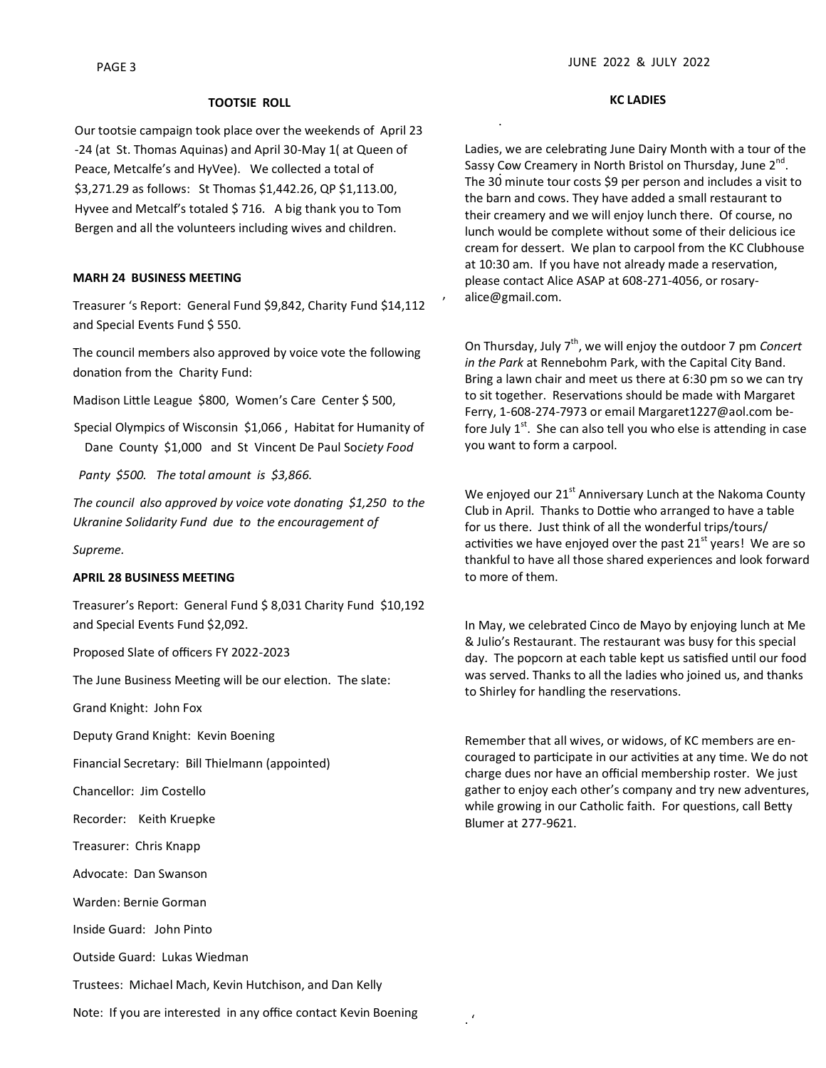#### **TOOTSIE ROLL**

Our tootsie campaign took place over the weekends of April 23 -24 (at St. Thomas Aquinas) and April 30-May 1( at Queen of Peace, Metcalfe's and HyVee). We collected a total of \$3,271.29 as follows: St Thomas \$1,442.26, QP \$1,113.00, Hyvee and Metcalf's totaled \$ 716. A big thank you to Tom Bergen and all the volunteers including wives and children.

#### **MARH 24 BUSINESS MEETING**

Treasurer 's Report: General Fund \$9,842, Charity Fund \$14,112 and Special Events Fund \$ 550.

The council members also approved by voice vote the following donation from the Charity Fund:

Madison Little League \$800, Women's Care Center \$ 500,

Special Olympics of Wisconsin \$1,066 , Habitat for Humanity of Dane County \$1,000 and St Vincent De Paul Soc*iety Food*

 *Panty \$500. The total amount is \$3,866.*

*The council also approved by voice vote donating \$1,250 to the Ukranine Solidarity Fund due to the encouragement of* 

*Supreme.*

### **APRIL 28 BUSINESS MEETING**

Treasurer's Report: General Fund \$ 8,031 Charity Fund \$10,192 and Special Events Fund \$2,092.

Proposed Slate of officers FY 2022-2023

The June Business Meeting will be our election. The slate:

Grand Knight: John Fox

Deputy Grand Knight: Kevin Boening

Financial Secretary: Bill Thielmann (appointed)

Chancellor: Jim Costello

Recorder: Keith Kruepke

Treasurer: Chris Knapp

Advocate: Dan Swanson

Warden: Bernie Gorman

Inside Guard: John Pinto

Outside Guard: Lukas Wiedman

Trustees: Michael Mach, Kevin Hutchison, and Dan Kelly

Note: If you are interested in any office contact Kevin Boening

**KC LADIES**

.

,

. '

Sassy Cow Creamery in North Bristol on Thursday, June 2<sup>nd</sup>.<br>-Ladies, we are celebrating June Dairy Month with a tour of the The 30 minute tour costs \$9 per person and includes a visit to the barn and cows. They have added a small restaurant to their creamery and we will enjoy lunch there. Of course, no lunch would be complete without some of their delicious ice cream for dessert. We plan to carpool from the KC Clubhouse at 10:30 am. If you have not already made a reservation, please contact Alice ASAP at 608-271-4056, or rosaryalice@gmail.com.

On Thursday, July 7<sup>th</sup>, we will enjoy the outdoor 7 pm *Concert in the Park* at Rennebohm Park, with the Capital City Band. Bring a lawn chair and meet us there at 6:30 pm so we can try to sit together. Reservations should be made with Margaret Ferry, 1-608-274-7973 or email Margaret1227@aol.com before July  $1<sup>st</sup>$ . She can also tell you who else is attending in case you want to form a carpool.

We enjoyed our  $21<sup>st</sup>$  Anniversary Lunch at the Nakoma County Club in April. Thanks to Dottie who arranged to have a table for us there. Just think of all the wonderful trips/tours/ activities we have enjoyed over the past  $21<sup>st</sup>$  years! We are so thankful to have all those shared experiences and look forward to more of them.

In May, we celebrated Cinco de Mayo by enjoying lunch at Me & Julio's Restaurant. The restaurant was busy for this special day. The popcorn at each table kept us satisfied until our food was served. Thanks to all the ladies who joined us, and thanks to Shirley for handling the reservations.

Remember that all wives, or widows, of KC members are encouraged to participate in our activities at any time. We do not charge dues nor have an official membership roster. We just gather to enjoy each other's company and try new adventures, while growing in our Catholic faith. For questions, call Betty Blumer at 277-9621.